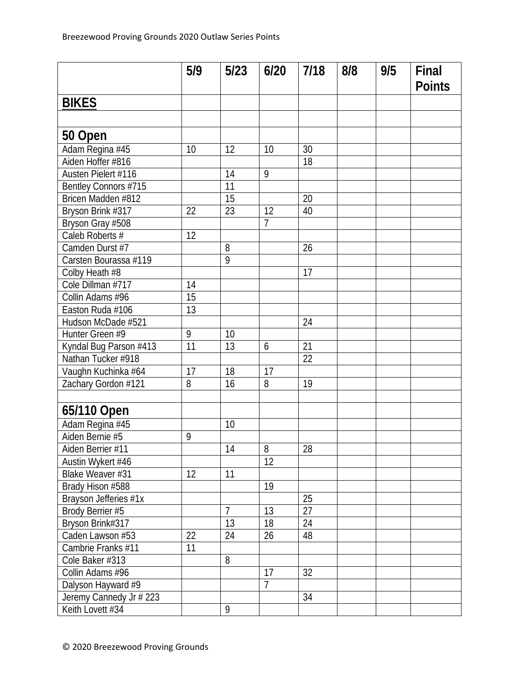|                         | 5/9             | $5/23$         | 6/20           | 7/18 | 8/8 | 9/5 | Final<br><b>Points</b> |
|-------------------------|-----------------|----------------|----------------|------|-----|-----|------------------------|
| <b>BIKES</b>            |                 |                |                |      |     |     |                        |
|                         |                 |                |                |      |     |     |                        |
| 50 Open                 |                 |                |                |      |     |     |                        |
| Adam Regina #45         | 10              | 12             | 10             | 30   |     |     |                        |
| Aiden Hoffer #816       |                 |                |                | 18   |     |     |                        |
| Austen Pielert #116     |                 | 14             | 9              |      |     |     |                        |
| Bentley Connors #715    |                 | 11             |                |      |     |     |                        |
| Bricen Madden #812      |                 | 15             |                | 20   |     |     |                        |
| Bryson Brink #317       | 22              | 23             | 12             | 40   |     |     |                        |
| Bryson Gray #508        |                 |                | 7              |      |     |     |                        |
| Caleb Roberts #         | 12              |                |                |      |     |     |                        |
| Camden Durst #7         |                 | 8              |                | 26   |     |     |                        |
| Carsten Bourassa #119   |                 | $\overline{9}$ |                |      |     |     |                        |
| Colby Heath #8          |                 |                |                | 17   |     |     |                        |
| Cole Dillman #717       | 14              |                |                |      |     |     |                        |
| Collin Adams #96        | 15              |                |                |      |     |     |                        |
| Easton Ruda #106        | $\overline{13}$ |                |                |      |     |     |                        |
| Hudson McDade #521      |                 |                |                | 24   |     |     |                        |
| Hunter Green #9         | 9               | 10             |                |      |     |     |                        |
| Kyndal Bug Parson #413  | 11              | 13             | 6              | 21   |     |     |                        |
| Nathan Tucker #918      |                 |                |                | 22   |     |     |                        |
| Vaughn Kuchinka #64     | 17              | 18             | 17             |      |     |     |                        |
| Zachary Gordon #121     | 8               | 16             | 8              | 19   |     |     |                        |
|                         |                 |                |                |      |     |     |                        |
| 65/110 Open             |                 |                |                |      |     |     |                        |
| Adam Regina #45         |                 | 10             |                |      |     |     |                        |
| Aiden Bernie #5         | 9               |                |                |      |     |     |                        |
| Aiden Berrier #11       |                 | 14             | 8              | 28   |     |     |                        |
| Austin Wykert #46       |                 |                | 12             |      |     |     |                        |
| Blake Weaver #31        | 12              | 11             |                |      |     |     |                        |
| Brady Hison #588        |                 |                | 19             |      |     |     |                        |
| Brayson Jefferies #1x   |                 |                |                | 25   |     |     |                        |
| Brody Berrier #5        |                 | $\overline{7}$ | 13             | 27   |     |     |                        |
| Bryson Brink#317        |                 | 13             | 18             | 24   |     |     |                        |
| Caden Lawson #53        | 22              | 24             | 26             | 48   |     |     |                        |
| Cambrie Franks #11      | 11              |                |                |      |     |     |                        |
| Cole Baker #313         |                 | 8              |                |      |     |     |                        |
| Collin Adams #96        |                 |                | 17             | 32   |     |     |                        |
| Dalyson Hayward #9      |                 |                | $\overline{7}$ |      |     |     |                        |
| Jeremy Cannedy Jr # 223 |                 |                |                | 34   |     |     |                        |
| Keith Lovett #34        |                 | 9              |                |      |     |     |                        |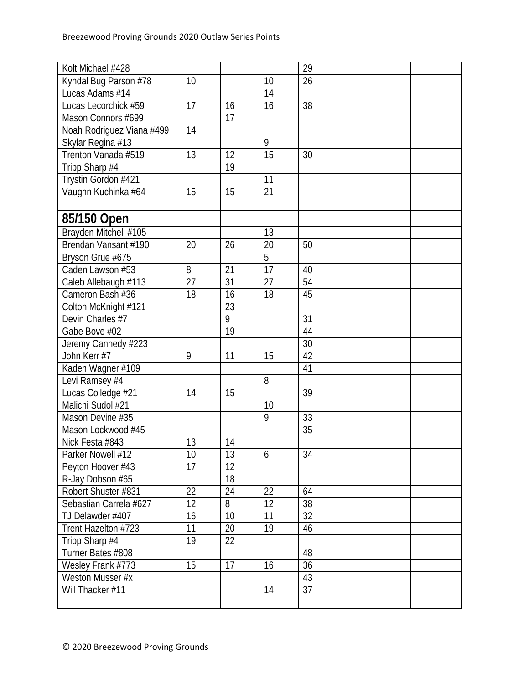| Kolt Michael #428         |    |    |                   | 29              |  |  |
|---------------------------|----|----|-------------------|-----------------|--|--|
| Kyndal Bug Parson #78     | 10 |    | 10                | $\overline{26}$ |  |  |
| Lucas Adams #14           |    |    | 14                |                 |  |  |
| Lucas Lecorchick #59      | 17 | 16 | 16                | 38              |  |  |
| Mason Connors #699        |    | 17 |                   |                 |  |  |
| Noah Rodriguez Viana #499 | 14 |    |                   |                 |  |  |
| Skylar Regina #13         |    |    | 9                 |                 |  |  |
| Trenton Vanada #519       | 13 | 12 | 15                | 30              |  |  |
| Tripp Sharp #4            |    | 19 |                   |                 |  |  |
| Trystin Gordon #421       |    |    | 11                |                 |  |  |
| Vaughn Kuchinka #64       | 15 | 15 | 21                |                 |  |  |
|                           |    |    |                   |                 |  |  |
| 85/150 Open               |    |    |                   |                 |  |  |
| Brayden Mitchell #105     |    |    | $\overline{13}$   |                 |  |  |
| Brendan Vansant #190      | 20 | 26 | 20                | 50              |  |  |
| Bryson Grue #675          |    |    | 5                 |                 |  |  |
| Caden Lawson #53          | 8  | 21 | $\overline{17}$   | 40              |  |  |
| Caleb Allebaugh #113      | 27 | 31 | 27                | 54              |  |  |
| Cameron Bash #36          | 18 | 16 | 18                | 45              |  |  |
| Colton McKnight #121      |    | 23 |                   |                 |  |  |
| Devin Charles #7          |    | 9  |                   | 31              |  |  |
| Gabe Bove #02             |    | 19 |                   | 44              |  |  |
| Jeremy Cannedy #223       |    |    |                   | 30              |  |  |
| John Kerr #7              | 9  | 11 | 15                | 42              |  |  |
| Kaden Wagner #109         |    |    |                   | 41              |  |  |
| Levi Ramsey #4            |    |    | 8                 |                 |  |  |
| Lucas Colledge #21        | 14 | 15 |                   | 39              |  |  |
| Malichi Sudol #21         |    |    | 10                |                 |  |  |
| Mason Devine #35          |    |    | 9                 | 33              |  |  |
| Mason Lockwood #45        |    |    |                   | 35              |  |  |
| Nick Festa #843           | 13 | 14 |                   |                 |  |  |
| Parker Nowell #12         | 10 | 13 | 6                 | 34              |  |  |
| Peyton Hoover #43         | 17 | 12 |                   |                 |  |  |
| R-Jay Dobson #65          |    | 18 |                   |                 |  |  |
| Robert Shuster #831       | 22 | 24 | 22                | 64              |  |  |
| Sebastian Carrela #627    | 12 | 8  | $12 \overline{ }$ | 38              |  |  |
| TJ Delawder #407          | 16 | 10 | 11                | 32              |  |  |
| Trent Hazelton #723       | 11 | 20 | 19                | 46              |  |  |
| Tripp Sharp #4            | 19 | 22 |                   |                 |  |  |
| Turner Bates #808         |    |    |                   | 48              |  |  |
| Wesley Frank #773         | 15 | 17 | 16                | 36              |  |  |
| Weston Musser #x          |    |    |                   | 43              |  |  |
| Will Thacker #11          |    |    | 14                | 37              |  |  |
|                           |    |    |                   |                 |  |  |
|                           |    |    |                   |                 |  |  |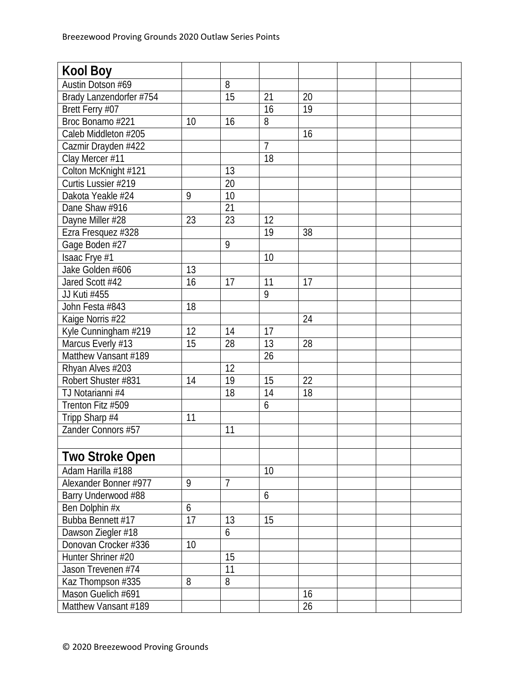| <b>Kool Boy</b>         |    |                |                |    |  |  |
|-------------------------|----|----------------|----------------|----|--|--|
| Austin Dotson #69       |    | 8              |                |    |  |  |
| Brady Lanzendorfer #754 |    | 15             | 21             | 20 |  |  |
| Brett Ferry #07         |    |                | 16             | 19 |  |  |
| Broc Bonamo #221        | 10 | 16             | 8              |    |  |  |
| Caleb Middleton #205    |    |                |                | 16 |  |  |
| Cazmir Drayden #422     |    |                | $\overline{7}$ |    |  |  |
| Clay Mercer #11         |    |                | 18             |    |  |  |
| Colton McKnight #121    |    | 13             |                |    |  |  |
| Curtis Lussier #219     |    | 20             |                |    |  |  |
| Dakota Yeakle #24       | 9  | 10             |                |    |  |  |
| Dane Shaw #916          |    | 21             |                |    |  |  |
| Dayne Miller #28        | 23 | 23             | 12             |    |  |  |
| Ezra Fresquez #328      |    |                | 19             | 38 |  |  |
| Gage Boden #27          |    | 9              |                |    |  |  |
| Isaac Frye #1           |    |                | 10             |    |  |  |
| Jake Golden #606        | 13 |                |                |    |  |  |
| Jared Scott #42         | 16 | 17             | 11             | 17 |  |  |
| JJ Kuti #455            |    |                | 9              |    |  |  |
| John Festa #843         | 18 |                |                |    |  |  |
| Kaige Norris #22        |    |                |                | 24 |  |  |
| Kyle Cunningham #219    | 12 | 14             | 17             |    |  |  |
| Marcus Everly #13       | 15 | 28             | 13             | 28 |  |  |
| Matthew Vansant #189    |    |                | 26             |    |  |  |
| Rhyan Alves #203        |    | 12             |                |    |  |  |
| Robert Shuster #831     | 14 | 19             | 15             | 22 |  |  |
| TJ Notarianni #4        |    | 18             | 14             | 18 |  |  |
| Trenton Fitz #509       |    |                | 6              |    |  |  |
| Tripp Sharp #4          | 11 |                |                |    |  |  |
| Zander Connors #57      |    | 11             |                |    |  |  |
|                         |    |                |                |    |  |  |
| <b>Two Stroke Open</b>  |    |                |                |    |  |  |
| Adam Harilla #188       |    |                | 10             |    |  |  |
| Alexander Bonner #977   | 9  | $\overline{7}$ |                |    |  |  |
| Barry Underwood #88     |    |                | 6              |    |  |  |
| Ben Dolphin #x          | 6  |                |                |    |  |  |
| Bubba Bennett #17       | 17 | 13             | 15             |    |  |  |
| Dawson Ziegler #18      |    | 6              |                |    |  |  |
| Donovan Crocker #336    | 10 |                |                |    |  |  |
| Hunter Shriner #20      |    | 15             |                |    |  |  |
| Jason Trevenen #74      |    | 11             |                |    |  |  |
| Kaz Thompson #335       | 8  | 8              |                |    |  |  |
| Mason Guelich #691      |    |                |                | 16 |  |  |
| Matthew Vansant #189    |    |                |                | 26 |  |  |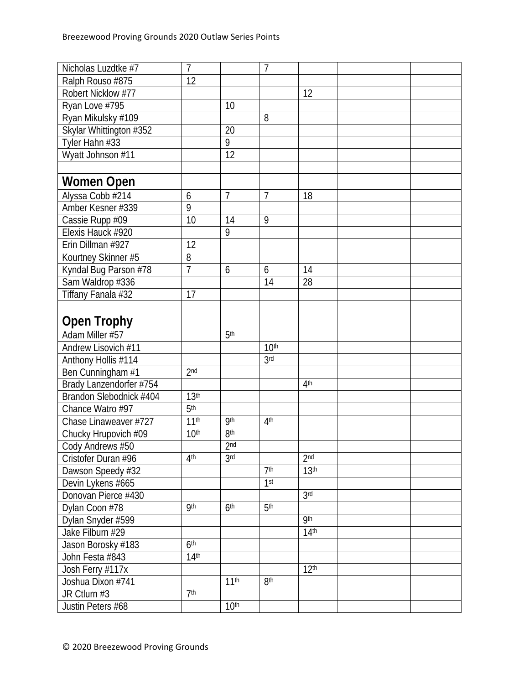| Nicholas Luzdtke #7     | 7                |                  | 7                |                  |  |  |
|-------------------------|------------------|------------------|------------------|------------------|--|--|
| Ralph Rouso #875        | 12               |                  |                  |                  |  |  |
| Robert Nicklow #77      |                  |                  |                  | 12               |  |  |
| Ryan Love #795          |                  | 10               |                  |                  |  |  |
| Ryan Mikulsky #109      |                  |                  | 8                |                  |  |  |
| Skylar Whittington #352 |                  | 20               |                  |                  |  |  |
| Tyler Hahn #33          |                  | 9                |                  |                  |  |  |
| Wyatt Johnson #11       |                  | 12               |                  |                  |  |  |
|                         |                  |                  |                  |                  |  |  |
| <b>Women Open</b>       |                  |                  |                  |                  |  |  |
| Alyssa Cobb #214        | 6                | $\overline{7}$   | $\overline{7}$   | 18               |  |  |
| Amber Kesner #339       | 9                |                  |                  |                  |  |  |
| Cassie Rupp #09         | 10               | 14               | 9                |                  |  |  |
| Elexis Hauck #920       |                  | $\overline{9}$   |                  |                  |  |  |
| Erin Dillman #927       | 12               |                  |                  |                  |  |  |
| Kourtney Skinner #5     | 8                |                  |                  |                  |  |  |
| Kyndal Bug Parson #78   | $\overline{7}$   | 6                | 6                | 14               |  |  |
| Sam Waldrop #336        |                  |                  | 14               | 28               |  |  |
| Tiffany Fanala #32      | 17               |                  |                  |                  |  |  |
|                         |                  |                  |                  |                  |  |  |
| <b>Open Trophy</b>      |                  |                  |                  |                  |  |  |
| Adam Miller #57         |                  | 5 <sup>th</sup>  |                  |                  |  |  |
| Andrew Lisovich #11     |                  |                  | 10 <sup>th</sup> |                  |  |  |
| Anthony Hollis #114     |                  |                  | 3 <sub>rd</sub>  |                  |  |  |
| Ben Cunningham #1       | 2 <sub>nd</sub>  |                  |                  |                  |  |  |
| Brady Lanzendorfer #754 |                  |                  |                  | 4 <sup>th</sup>  |  |  |
| Brandon Slebodnick #404 | 13 <sup>th</sup> |                  |                  |                  |  |  |
| Chance Watro #97        | 5 <sup>th</sup>  |                  |                  |                  |  |  |
| Chase Linaweaver #727   | 11 <sup>th</sup> | <b>9th</b>       | 4 <sup>th</sup>  |                  |  |  |
| Chucky Hrupovich #09    | 10 <sup>th</sup> | 8 <sup>th</sup>  |                  |                  |  |  |
| Cody Andrews #50        |                  | 2 <sub>nd</sub>  |                  |                  |  |  |
| Cristofer Duran #96     | 4 <sup>th</sup>  | 3 <sub>rd</sub>  |                  | 2 <sub>nd</sub>  |  |  |
| Dawson Speedy #32       |                  |                  | 7 <sup>th</sup>  | 13 <sup>th</sup> |  |  |
| Devin Lykens #665       |                  |                  | 1 <sup>st</sup>  |                  |  |  |
| Donovan Pierce #430     |                  |                  |                  | 3 <sub>rd</sub>  |  |  |
| Dylan Coon #78          | <b>9th</b>       | 6 <sup>th</sup>  | 5 <sup>th</sup>  |                  |  |  |
| Dylan Snyder #599       |                  |                  |                  | <b>9th</b>       |  |  |
| Jake Filburn #29        |                  |                  |                  | 14 <sup>th</sup> |  |  |
| Jason Borosky #183      | 6 <sup>th</sup>  |                  |                  |                  |  |  |
| John Festa #843         | 14 <sup>th</sup> |                  |                  |                  |  |  |
| Josh Ferry #117x        |                  |                  |                  | 12 <sup>th</sup> |  |  |
| Joshua Dixon #741       |                  | 11 <sup>th</sup> | 8 <sup>th</sup>  |                  |  |  |
| JR Ctlurn #3            | 7 <sup>th</sup>  |                  |                  |                  |  |  |
| Justin Peters #68       |                  | 10 <sup>th</sup> |                  |                  |  |  |
|                         |                  |                  |                  |                  |  |  |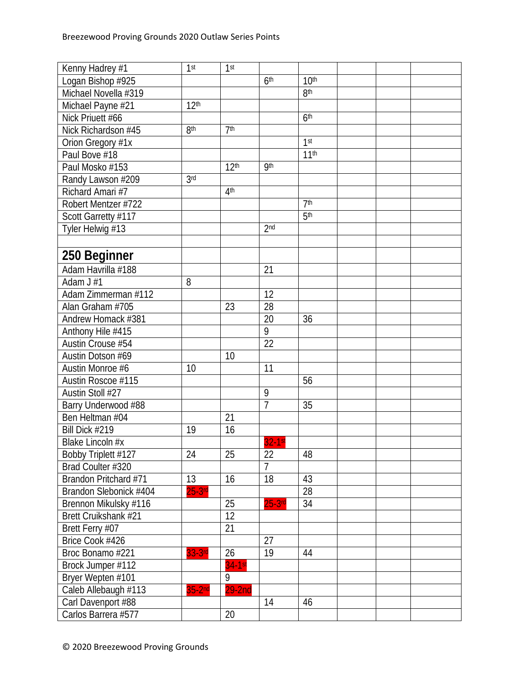| Kenny Hadrey #1        | 1 <sup>st</sup>  | 1 <sup>st</sup>  |                 |                  |  |  |
|------------------------|------------------|------------------|-----------------|------------------|--|--|
| Logan Bishop #925      |                  |                  | 6 <sup>th</sup> | 10 <sup>th</sup> |  |  |
| Michael Novella #319   |                  |                  |                 | 8 <sup>th</sup>  |  |  |
| Michael Payne #21      | 12 <sup>th</sup> |                  |                 |                  |  |  |
| Nick Priuett #66       |                  |                  |                 | 6 <sup>th</sup>  |  |  |
| Nick Richardson #45    | 8 <sup>th</sup>  | 7 <sup>th</sup>  |                 |                  |  |  |
| Orion Gregory #1x      |                  |                  |                 | 1 <sup>st</sup>  |  |  |
| Paul Bove #18          |                  |                  |                 | 11 <sup>th</sup> |  |  |
| Paul Mosko #153        |                  | 12 <sup>th</sup> | <b>9th</b>      |                  |  |  |
| Randy Lawson #209      | 3 <sub>rd</sub>  |                  |                 |                  |  |  |
| Richard Amari #7       |                  | 4 <sup>th</sup>  |                 |                  |  |  |
| Robert Mentzer #722    |                  |                  |                 | 7 <sup>th</sup>  |  |  |
| Scott Garretty #117    |                  |                  |                 | 5 <sup>th</sup>  |  |  |
| Tyler Helwig #13       |                  |                  | 2 <sub>nd</sub> |                  |  |  |
|                        |                  |                  |                 |                  |  |  |
| 250 Beginner           |                  |                  |                 |                  |  |  |
| Adam Havrilla #188     |                  |                  | 21              |                  |  |  |
| Adam J #1              | 8                |                  |                 |                  |  |  |
| Adam Zimmerman #112    |                  |                  | 12              |                  |  |  |
| Alan Graham #705       |                  | 23               | 28              |                  |  |  |
| Andrew Homack #381     |                  |                  | 20              | 36               |  |  |
| Anthony Hile #415      |                  |                  | 9               |                  |  |  |
| Austin Crouse #54      |                  |                  | 22              |                  |  |  |
| Austin Dotson #69      |                  | 10               |                 |                  |  |  |
| Austin Monroe #6       | 10               |                  | 11              |                  |  |  |
| Austin Roscoe #115     |                  |                  |                 | 56               |  |  |
| Austin Stoll #27       |                  |                  | 9               |                  |  |  |
| Barry Underwood #88    |                  |                  | $\overline{1}$  | 35               |  |  |
| Ben Heltman #04        |                  | 21               |                 |                  |  |  |
| Bill Dick #219         | 19               | 16               |                 |                  |  |  |
| Blake Lincoln #x       |                  |                  | 32-1st          |                  |  |  |
| Bobby Triplett #127    | 24               | 25               | 22              | 48               |  |  |
| Brad Coulter #320      |                  |                  | $\overline{7}$  |                  |  |  |
| Brandon Pritchard #71  | 13               | 16               | 18              | 43               |  |  |
| Brandon Slebonick #404 | $25-3$ rd        |                  |                 | $\overline{28}$  |  |  |
| Brennon Mikulsky #116  |                  | 25               | $25-3$ rd       | 34               |  |  |
| Brett Cruikshank #21   |                  | $\overline{12}$  |                 |                  |  |  |
| Brett Ferry #07        |                  | 21               |                 |                  |  |  |
| Brice Cook #426        |                  |                  | 27              |                  |  |  |
| Broc Bonamo #221       | 33-3rd           | 26               | 19              | 44               |  |  |
| Brock Jumper #112      |                  | $34-1st$         |                 |                  |  |  |
| Bryer Wepten #101      |                  | 9                |                 |                  |  |  |
| Caleb Allebaugh #113   | $35-2nd$         | $29-2nd$         |                 |                  |  |  |
| Carl Davenport #88     |                  |                  | 14              | 46               |  |  |
|                        |                  |                  |                 |                  |  |  |
| Carlos Barrera #577    |                  | 20               |                 |                  |  |  |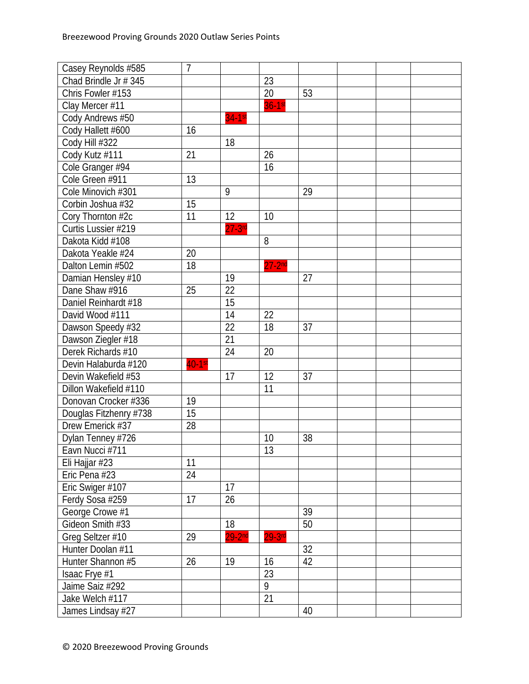| Casey Reynolds #585    | $\overline{1}$ |           |                |    |  |  |
|------------------------|----------------|-----------|----------------|----|--|--|
| Chad Brindle Jr # 345  |                |           | 23             |    |  |  |
| Chris Fowler #153      |                |           | 20             | 53 |  |  |
| Clay Mercer #11        |                |           | $36 - 1st$     |    |  |  |
| Cody Andrews #50       |                | $34-1st$  |                |    |  |  |
| Cody Hallett #600      | 16             |           |                |    |  |  |
| Cody Hill #322         |                | 18        |                |    |  |  |
| Cody Kutz #111         | 21             |           | 26             |    |  |  |
| Cole Granger #94       |                |           | 16             |    |  |  |
| Cole Green #911        | 13             |           |                |    |  |  |
| Cole Minovich #301     |                | 9         |                | 29 |  |  |
| Corbin Joshua #32      | 15             |           |                |    |  |  |
| Cory Thornton #2c      | 11             | 12        | 10             |    |  |  |
| Curtis Lussier #219    |                | $27-3$ rd |                |    |  |  |
| Dakota Kidd #108       |                |           | 8              |    |  |  |
| Dakota Yeakle #24      | 20             |           |                |    |  |  |
| Dalton Lemin #502      | 18             |           | $27 - 2nd$     |    |  |  |
| Damian Hensley #10     |                | 19        |                | 27 |  |  |
| Dane Shaw #916         | 25             | 22        |                |    |  |  |
| Daniel Reinhardt #18   |                | 15        |                |    |  |  |
| David Wood #111        |                | 14        | 22             |    |  |  |
| Dawson Speedy #32      |                | 22        | 18             | 37 |  |  |
| Dawson Ziegler #18     |                | 21        |                |    |  |  |
| Derek Richards #10     |                | 24        | 20             |    |  |  |
| Devin Halaburda #120   | $40-1$ st      |           |                |    |  |  |
| Devin Wakefield #53    |                | 17        | 12             | 37 |  |  |
| Dillon Wakefield #110  |                |           | 11             |    |  |  |
| Donovan Crocker #336   | 19             |           |                |    |  |  |
| Douglas Fitzhenry #738 | 15             |           |                |    |  |  |
| Drew Emerick #37       | 28             |           |                |    |  |  |
| Dylan Tenney #726      |                |           | 10             | 38 |  |  |
| Eavn Nucci #711        |                |           | 13             |    |  |  |
| Eli Hajjar #23         | 11             |           |                |    |  |  |
| Eric Pena #23          | 24             |           |                |    |  |  |
| Eric Swiger #107       |                | 17        |                |    |  |  |
| Ferdy Sosa #259        | 17             | 26        |                |    |  |  |
| George Crowe #1        |                |           |                | 39 |  |  |
| Gideon Smith #33       |                | 18        |                | 50 |  |  |
| Greg Seltzer #10       | 29             | $29-2nd$  | $29-3$ rd      |    |  |  |
| Hunter Doolan #11      |                |           |                | 32 |  |  |
| Hunter Shannon #5      | 26             | 19        | 16             | 42 |  |  |
| Isaac Frye #1          |                |           | 23             |    |  |  |
| Jaime Saiz #292        |                |           | $\overline{9}$ |    |  |  |
| Jake Welch #117        |                |           | 21             |    |  |  |
| James Lindsay #27      |                |           |                | 40 |  |  |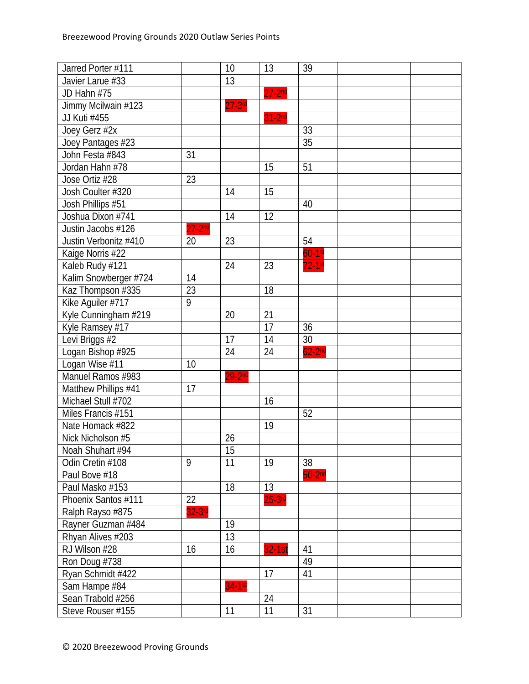| Jarred Porter #111    |            | 10          | 13          | 39        |  |  |
|-----------------------|------------|-------------|-------------|-----------|--|--|
| Javier Larue #33      |            | 13          |             |           |  |  |
| JD Hahn #75           |            |             | $27 - 2nd$  |           |  |  |
| Jimmy Mcilwain #123   |            | $27 - 3$ rd |             |           |  |  |
| JJ Kuti #455          |            |             | $31-2nd$    |           |  |  |
| Joey Gerz #2x         |            |             |             | 33        |  |  |
| Joey Pantages #23     |            |             |             | 35        |  |  |
| John Festa #843       | 31         |             |             |           |  |  |
| Jordan Hahn #78       |            |             | 15          | 51        |  |  |
| Jose Ortiz #28        | 23         |             |             |           |  |  |
| Josh Coulter #320     |            | 14          | 15          |           |  |  |
| Josh Phillips #51     |            |             |             | 40        |  |  |
| Joshua Dixon #741     |            | 14          | 12          |           |  |  |
| Justin Jacobs #126    | $27 - 2nd$ |             |             |           |  |  |
| Justin Verbonitz #410 | 20         | 23          |             | 54        |  |  |
| Kaige Norris #22      |            |             |             | $60-1$ st |  |  |
| Kaleb Rudy #121       |            | 24          | 23          | $72-1$ st |  |  |
| Kalim Snowberger #724 | 14         |             |             |           |  |  |
| Kaz Thompson #335     | 23         |             | 18          |           |  |  |
| Kike Aguiler #717     | 9          |             |             |           |  |  |
| Kyle Cunningham #219  |            | 20          | 21          |           |  |  |
| Kyle Ramsey #17       |            |             | 17          | 36        |  |  |
| Levi Briggs #2        |            | 17          | 14          | 30        |  |  |
| Logan Bishop #925     |            | 24          | 24          | $62-2nd$  |  |  |
| Logan Wise #11        | 10         |             |             |           |  |  |
| Manuel Ramos #983     |            | $29-2nd$    |             |           |  |  |
| Matthew Phillips #41  | 17         |             |             |           |  |  |
| Michael Stull #702    |            |             | 16          |           |  |  |
| Miles Francis #151    |            |             |             | 52        |  |  |
| Nate Homack #822      |            |             | 19          |           |  |  |
| Nick Nicholson #5     |            | 26          |             |           |  |  |
| Noah Shuhart #94      |            | 15          |             |           |  |  |
| Odin Cretin #108      | 9          | 11          | 19          | 38        |  |  |
| Paul Bove #18         |            |             |             | $50-2nd$  |  |  |
| Paul Masko #153       |            | 18          | 13          |           |  |  |
| Phoenix Santos #111   | 22         |             | $25 - 3$ rd |           |  |  |
| Ralph Rayso #875      | $32-3$ rd  |             |             |           |  |  |
| Rayner Guzman #484    |            | 19          |             |           |  |  |
| Rhyan Alives #203     |            | 13          |             |           |  |  |
| RJ Wilson #28         | 16         | 16          | $32 - 1st$  | 41        |  |  |
| Ron Doug #738         |            |             |             | 49        |  |  |
| Ryan Schmidt #422     |            |             | 17          | 41        |  |  |
| Sam Hampe #84         |            | $34-1st$    |             |           |  |  |
| Sean Trabold #256     |            |             | 24          |           |  |  |
| Steve Rouser #155     |            | 11          | 11          | 31        |  |  |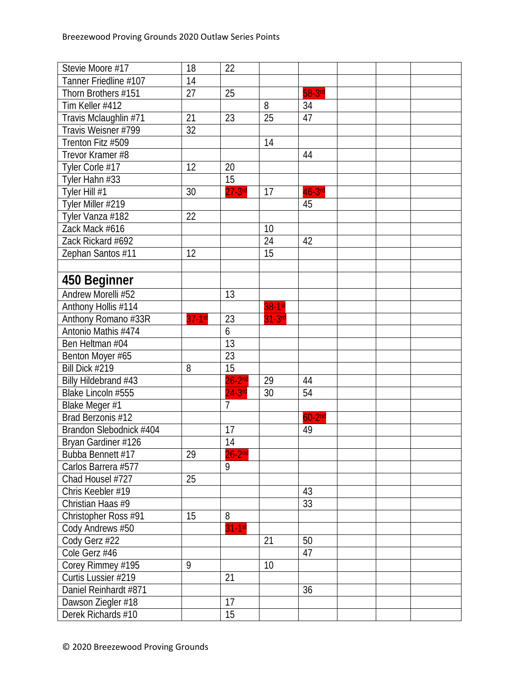| Stevie Moore #17        | 18        | 22             |                 |                 |  |  |
|-------------------------|-----------|----------------|-----------------|-----------------|--|--|
| Tanner Friedline #107   | 14        |                |                 |                 |  |  |
| Thorn Brothers #151     | 27        | 25             |                 | 58-3rd          |  |  |
| Tim Keller #412         |           |                | 8               | 34              |  |  |
| Travis Mclaughlin #71   | 21        | 23             | $\overline{25}$ | 47              |  |  |
| Travis Weisner #799     | 32        |                |                 |                 |  |  |
| Trenton Fitz #509       |           |                | 14              |                 |  |  |
| Trevor Kramer #8        |           |                |                 | 44              |  |  |
| Tyler Corle #17         | 12        | 20             |                 |                 |  |  |
| Tyler Hahn #33          |           | 15             |                 |                 |  |  |
| Tyler Hill #1           | 30        | $27-3$ rd      | 17              | $46-3$ rd       |  |  |
| Tyler Miller #219       |           |                |                 | 45              |  |  |
| Tyler Vanza #182        | 22        |                |                 |                 |  |  |
| Zack Mack #616          |           |                | 10              |                 |  |  |
| Zack Rickard #692       |           |                | 24              | 42              |  |  |
| Zephan Santos #11       | 12        |                | 15              |                 |  |  |
|                         |           |                |                 |                 |  |  |
| 450 Beginner            |           |                |                 |                 |  |  |
| Andrew Morelli #52      |           | 13             |                 |                 |  |  |
| Anthony Hollis #114     |           |                | $38-1$ st       |                 |  |  |
| Anthony Romano #33R     | $37-1$ st | 23             | $31-3$ rd       |                 |  |  |
| Antonio Mathis #474     |           | 6              |                 |                 |  |  |
| Ben Heltman #04         |           | 13             |                 |                 |  |  |
| Benton Moyer #65        |           | 23             |                 |                 |  |  |
| Bill Dick #219          | 8         | 15             |                 |                 |  |  |
| Billy Hildebrand #43    |           | $26 - 2nd$     | 29              | 44              |  |  |
| Blake Lincoln #555      |           | $24-3$ rd      | 30              | $\overline{54}$ |  |  |
| Blake Meger #1          |           | $\overline{7}$ |                 |                 |  |  |
| Brad Berzonis #12       |           |                |                 | $60-2nd$        |  |  |
| Brandon Slebodnick #404 |           | 17             |                 | 49              |  |  |
| Bryan Gardiner #126     |           | 14             |                 |                 |  |  |
| Bubba Bennett #17       | 29        | $26 - 2nd$     |                 |                 |  |  |
| Carlos Barrera #577     |           | 9              |                 |                 |  |  |
| Chad Housel #727        | 25        |                |                 |                 |  |  |
| Chris Keebler #19       |           |                |                 | 43              |  |  |
| Christian Haas #9       |           |                |                 | 33              |  |  |
| Christopher Ross #91    | 15        | 8              |                 |                 |  |  |
| Cody Andrews #50        |           | $31-1st$       |                 |                 |  |  |
| Cody Gerz #22           |           |                | 21              | 50              |  |  |
| Cole Gerz #46           |           |                |                 | 47              |  |  |
| Corey Rimmey #195       | 9         |                | 10              |                 |  |  |
| Curtis Lussier #219     |           | 21             |                 |                 |  |  |
| Daniel Reinhardt #871   |           |                |                 | 36              |  |  |
| Dawson Ziegler #18      |           | 17             |                 |                 |  |  |
| Derek Richards #10      |           | 15             |                 |                 |  |  |
|                         |           |                |                 |                 |  |  |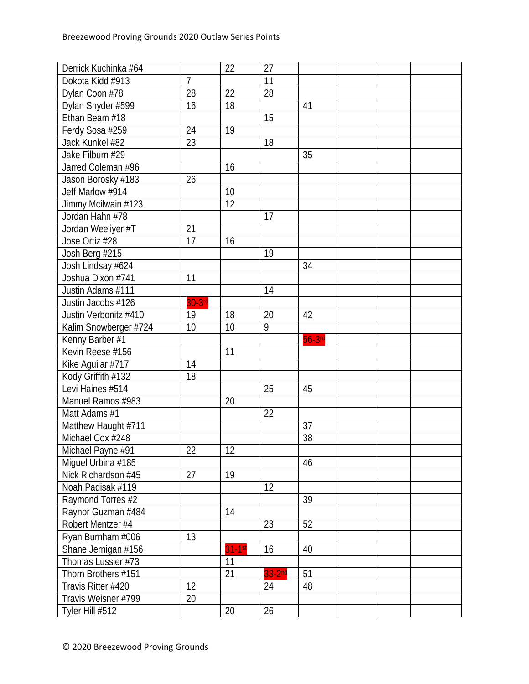| Derrick Kuchinka #64  |                | 22       | 27              |           |  |  |
|-----------------------|----------------|----------|-----------------|-----------|--|--|
| Dokota Kidd #913      | $\overline{7}$ |          | $\overline{11}$ |           |  |  |
| Dylan Coon #78        | 28             | 22       | 28              |           |  |  |
| Dylan Snyder #599     | 16             | 18       |                 | 41        |  |  |
| Ethan Beam #18        |                |          | 15              |           |  |  |
| Ferdy Sosa #259       | 24             | 19       |                 |           |  |  |
| Jack Kunkel #82       | 23             |          | 18              |           |  |  |
| Jake Filburn #29      |                |          |                 | 35        |  |  |
| Jarred Coleman #96    |                | 16       |                 |           |  |  |
| Jason Borosky #183    | 26             |          |                 |           |  |  |
| Jeff Marlow #914      |                | 10       |                 |           |  |  |
| Jimmy Mcilwain #123   |                | 12       |                 |           |  |  |
| Jordan Hahn #78       |                |          | 17              |           |  |  |
| Jordan Weeliyer #T    | 21             |          |                 |           |  |  |
| Jose Ortiz #28        | 17             | 16       |                 |           |  |  |
| Josh Berg #215        |                |          | 19              |           |  |  |
| Josh Lindsay #624     |                |          |                 | 34        |  |  |
| Joshua Dixon #741     | 11             |          |                 |           |  |  |
| Justin Adams #111     |                |          | 14              |           |  |  |
| Justin Jacobs #126    | $30-3$ rd      |          |                 |           |  |  |
| Justin Verbonitz #410 | 19             | 18       | 20              | 42        |  |  |
| Kalim Snowberger #724 | 10             | 10       | 9               |           |  |  |
| Kenny Barber #1       |                |          |                 | $56-3$ rd |  |  |
| Kevin Reese #156      |                | 11       |                 |           |  |  |
| Kike Aguilar #717     | 14             |          |                 |           |  |  |
| Kody Griffith #132    | 18             |          |                 |           |  |  |
| Levi Haines #514      |                |          | 25              | 45        |  |  |
| Manuel Ramos #983     |                | 20       |                 |           |  |  |
| Matt Adams #1         |                |          | 22              |           |  |  |
| Matthew Haught #711   |                |          |                 | 37        |  |  |
| Michael Cox #248      |                |          |                 | 38        |  |  |
| Michael Payne #91     | 22             | 12       |                 |           |  |  |
| Miguel Urbina #185    |                |          |                 | 46        |  |  |
| Nick Richardson #45   | 27             | 19       |                 |           |  |  |
| Noah Padisak #119     |                |          | 12              |           |  |  |
| Raymond Torres #2     |                |          |                 | 39        |  |  |
| Raynor Guzman #484    |                | 14       |                 |           |  |  |
| Robert Mentzer #4     |                |          | 23              | 52        |  |  |
| Ryan Burnham #006     | 13             |          |                 |           |  |  |
| Shane Jernigan #156   |                | $31-1st$ | 16              | 40        |  |  |
| Thomas Lussier #73    |                | 11       |                 |           |  |  |
| Thorn Brothers #151   |                | 21       | $33-2nd$        | 51        |  |  |
| Travis Ritter #420    | 12             |          | 24              | 48        |  |  |
| Travis Weisner #799   | 20             |          |                 |           |  |  |
| Tyler Hill #512       |                | 20       | 26              |           |  |  |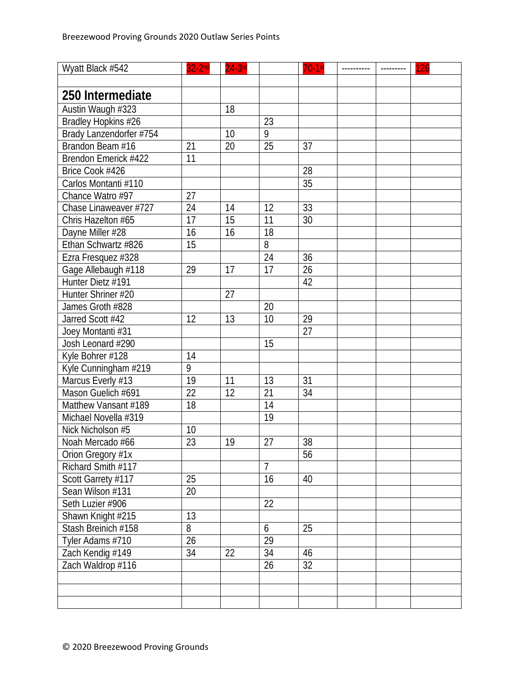| Wyatt Black #542        | $32-2nd$        | $24-3$ rd |                 | $70-1$ st       | --------- | 126 |
|-------------------------|-----------------|-----------|-----------------|-----------------|-----------|-----|
|                         |                 |           |                 |                 |           |     |
| 250 Intermediate        |                 |           |                 |                 |           |     |
| Austin Waugh #323       |                 | 18        |                 |                 |           |     |
| Bradley Hopkins #26     |                 |           | 23              |                 |           |     |
| Brady Lanzendorfer #754 |                 | 10        | 9               |                 |           |     |
| Brandon Beam #16        | 21              | 20        | 25              | 37              |           |     |
| Brendon Emerick #422    | 11              |           |                 |                 |           |     |
| Brice Cook #426         |                 |           |                 | 28              |           |     |
| Carlos Montanti #110    |                 |           |                 | $\overline{35}$ |           |     |
| Chance Watro #97        | 27              |           |                 |                 |           |     |
| Chase Linaweaver #727   | 24              | 14        | 12              | 33              |           |     |
| Chris Hazelton #65      | 17              | 15        | 11              | 30              |           |     |
| Dayne Miller #28        | 16              | 16        | $\overline{18}$ |                 |           |     |
| Ethan Schwartz #826     | 15              |           | 8               |                 |           |     |
| Ezra Fresquez #328      |                 |           | 24              | 36              |           |     |
| Gage Allebaugh #118     | 29              | 17        | $\overline{17}$ | 26              |           |     |
| Hunter Dietz #191       |                 |           |                 | 42              |           |     |
| Hunter Shriner #20      |                 | 27        |                 |                 |           |     |
| James Groth #828        |                 |           | 20              |                 |           |     |
| Jarred Scott #42        | 12              | 13        | 10              | 29              |           |     |
| Joey Montanti #31       |                 |           |                 | 27              |           |     |
| Josh Leonard #290       |                 |           | 15              |                 |           |     |
| Kyle Bohrer #128        | 14              |           |                 |                 |           |     |
| Kyle Cunningham #219    | 9               |           |                 |                 |           |     |
| Marcus Everly #13       | 19              | 11        | 13              | 31              |           |     |
| Mason Guelich #691      | 22              | 12        | 21              | 34              |           |     |
| Matthew Vansant #189    | 18              |           | 14              |                 |           |     |
| Michael Novella #319    |                 |           | 19              |                 |           |     |
| Nick Nicholson #5       | 10              |           |                 |                 |           |     |
| Noah Mercado #66        | $\overline{23}$ | 19        | 27              | 38              |           |     |
| Orion Gregory #1x       |                 |           |                 | 56              |           |     |
| Richard Smith #117      |                 |           | $\overline{7}$  |                 |           |     |
| Scott Garrety #117      | 25              |           | 16              | 40              |           |     |
| Sean Wilson #131        | 20              |           |                 |                 |           |     |
| Seth Luzier #906        |                 |           | 22              |                 |           |     |
| Shawn Knight #215       | 13              |           |                 |                 |           |     |
| Stash Breinich #158     | 8               |           | 6               | 25              |           |     |
| Tyler Adams #710        | 26              |           | 29              |                 |           |     |
| Zach Kendig #149        | 34              | 22        | 34              | 46              |           |     |
| Zach Waldrop #116       |                 |           | 26              | 32              |           |     |
|                         |                 |           |                 |                 |           |     |
|                         |                 |           |                 |                 |           |     |
|                         |                 |           |                 |                 |           |     |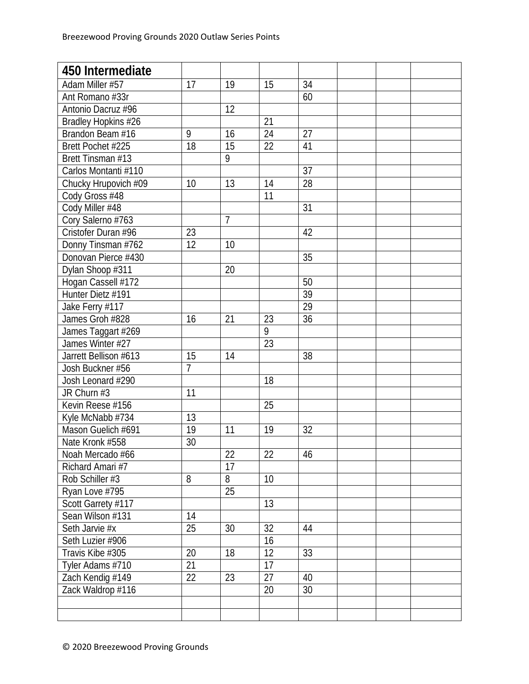| 450 Intermediate      |    |                 |    |                 |  |  |
|-----------------------|----|-----------------|----|-----------------|--|--|
| Adam Miller #57       | 17 | 19              | 15 | 34              |  |  |
| Ant Romano #33r       |    |                 |    | 60              |  |  |
| Antonio Dacruz #96    |    | 12              |    |                 |  |  |
| Bradley Hopkins #26   |    |                 | 21 |                 |  |  |
| Brandon Beam #16      | 9  | 16              | 24 | 27              |  |  |
| Brett Pochet #225     | 18 | 15              | 22 | 41              |  |  |
| Brett Tinsman #13     |    | 9               |    |                 |  |  |
| Carlos Montanti #110  |    |                 |    | 37              |  |  |
| Chucky Hrupovich #09  | 10 | 13              | 14 | 28              |  |  |
| Cody Gross #48        |    |                 | 11 |                 |  |  |
| Cody Miller #48       |    |                 |    | 31              |  |  |
| Cory Salerno #763     |    | $\overline{7}$  |    |                 |  |  |
| Cristofer Duran #96   | 23 |                 |    | 42              |  |  |
| Donny Tinsman #762    | 12 | 10              |    |                 |  |  |
| Donovan Pierce #430   |    |                 |    | $\overline{35}$ |  |  |
| Dylan Shoop #311      |    | 20              |    |                 |  |  |
| Hogan Cassell #172    |    |                 |    | 50              |  |  |
| Hunter Dietz #191     |    |                 |    | 39              |  |  |
| Jake Ferry #117       |    |                 |    | 29              |  |  |
| James Groh #828       | 16 | 21              | 23 | 36              |  |  |
| James Taggart #269    |    |                 | 9  |                 |  |  |
| James Winter #27      |    |                 | 23 |                 |  |  |
| Jarrett Bellison #613 | 15 | 14              |    | 38              |  |  |
| Josh Buckner #56      | 7  |                 |    |                 |  |  |
| Josh Leonard #290     |    |                 | 18 |                 |  |  |
| JR Churn #3           | 11 |                 |    |                 |  |  |
| Kevin Reese #156      |    |                 | 25 |                 |  |  |
| Kyle McNabb #734      | 13 |                 |    |                 |  |  |
| Mason Guelich #691    | 19 | 11              | 19 | 32              |  |  |
| Nate Kronk #558       | 30 |                 |    |                 |  |  |
| Noah Mercado #66      |    | 22              | 22 | 46              |  |  |
| Richard Amari #7      |    | 17              |    |                 |  |  |
| Rob Schiller #3       | 8  | 8               | 10 |                 |  |  |
| Ryan Love #795        |    | $\overline{25}$ |    |                 |  |  |
| Scott Garrety #117    |    |                 | 13 |                 |  |  |
| Sean Wilson #131      | 14 |                 |    |                 |  |  |
| Seth Jarvie #x        | 25 | 30              | 32 | 44              |  |  |
| Seth Luzier #906      |    |                 | 16 |                 |  |  |
| Travis Kibe #305      | 20 | 18              | 12 | 33              |  |  |
| Tyler Adams #710      | 21 |                 | 17 |                 |  |  |
| Zach Kendig #149      | 22 | 23              | 27 | 40              |  |  |
| Zack Waldrop #116     |    |                 | 20 | 30              |  |  |
|                       |    |                 |    |                 |  |  |
|                       |    |                 |    |                 |  |  |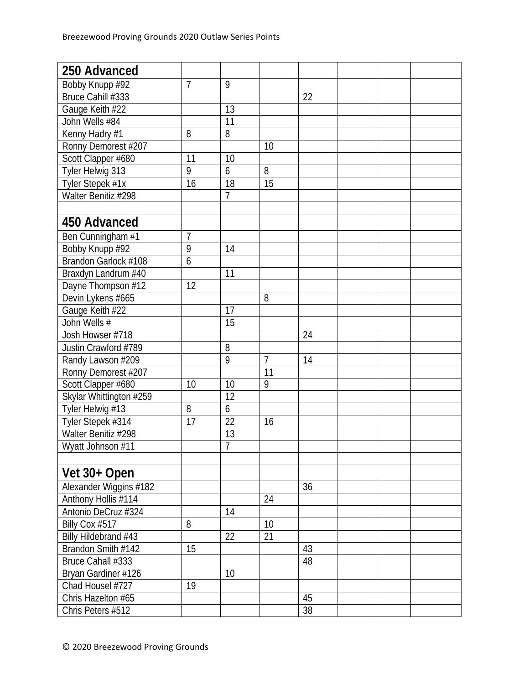| 250 Advanced            |                |                |                |    |  |  |
|-------------------------|----------------|----------------|----------------|----|--|--|
| Bobby Knupp #92         | 7              | 9              |                |    |  |  |
| Bruce Cahill #333       |                |                |                | 22 |  |  |
| Gauge Keith #22         |                | 13             |                |    |  |  |
| John Wells #84          |                | 11             |                |    |  |  |
| Kenny Hadry #1          | 8              | 8              |                |    |  |  |
| Ronny Demorest #207     |                |                | 10             |    |  |  |
| Scott Clapper #680      | 11             | 10             |                |    |  |  |
| Tyler Helwig 313        | 9              | 6              | 8              |    |  |  |
| Tyler Stepek #1x        | 16             | 18             | 15             |    |  |  |
| Walter Benitiz #298     |                | $\overline{7}$ |                |    |  |  |
|                         |                |                |                |    |  |  |
| 450 Advanced            |                |                |                |    |  |  |
| Ben Cunningham #1       | 7              |                |                |    |  |  |
| Bobby Knupp #92         | $\overline{9}$ | 14             |                |    |  |  |
| Brandon Garlock #108    | 6              |                |                |    |  |  |
| Braxdyn Landrum #40     |                | 11             |                |    |  |  |
| Dayne Thompson #12      | 12             |                |                |    |  |  |
| Devin Lykens #665       |                |                | 8              |    |  |  |
| Gauge Keith #22         |                | 17             |                |    |  |  |
| John Wells #            |                | 15             |                |    |  |  |
| Josh Howser #718        |                |                |                | 24 |  |  |
| Justin Crawford #789    |                | 8              |                |    |  |  |
| Randy Lawson #209       |                | $\overline{9}$ | $\overline{7}$ | 14 |  |  |
| Ronny Demorest #207     |                |                | 11             |    |  |  |
| Scott Clapper #680      | 10             | 10             | 9              |    |  |  |
| Skylar Whittington #259 |                | 12             |                |    |  |  |
| Tyler Helwig #13        | 8              | 6              |                |    |  |  |
| Tyler Stepek #314       | 17             | 22             | 16             |    |  |  |
| Walter Benitiz #298     |                | 13             |                |    |  |  |
| Wyatt Johnson #11       |                | $\overline{7}$ |                |    |  |  |
|                         |                |                |                |    |  |  |
| Vet 30+ Open            |                |                |                |    |  |  |
| Alexander Wiggins #182  |                |                |                | 36 |  |  |
| Anthony Hollis #114     |                |                | 24             |    |  |  |
| Antonio DeCruz #324     |                | 14             |                |    |  |  |
| Billy Cox #517          | 8              |                | 10             |    |  |  |
| Billy Hildebrand #43    |                | 22             | 21             |    |  |  |
| Brandon Smith #142      | 15             |                |                | 43 |  |  |
| Bruce Cahall #333       |                |                |                | 48 |  |  |
| Bryan Gardiner #126     |                | 10             |                |    |  |  |
| Chad Housel #727        | 19             |                |                |    |  |  |
| Chris Hazelton #65      |                |                |                | 45 |  |  |
| Chris Peters #512       |                |                |                | 38 |  |  |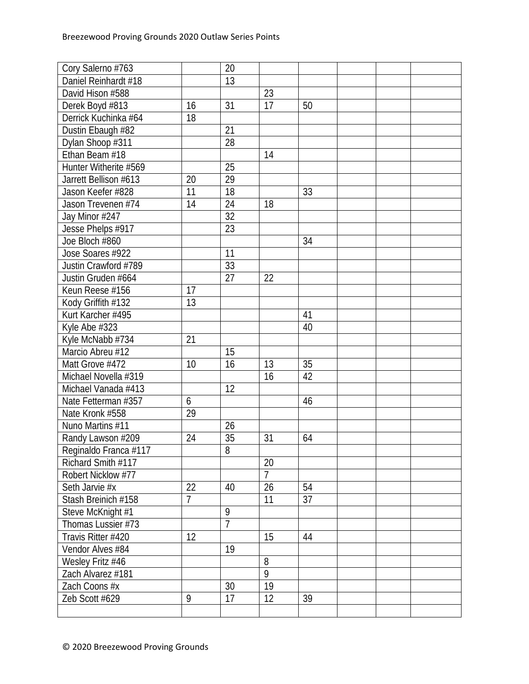| Cory Salerno #763     |    | 20             |                |    |  |  |
|-----------------------|----|----------------|----------------|----|--|--|
| Daniel Reinhardt #18  |    | 13             |                |    |  |  |
| David Hison #588      |    |                | 23             |    |  |  |
| Derek Boyd #813       | 16 | 31             | 17             | 50 |  |  |
| Derrick Kuchinka #64  | 18 |                |                |    |  |  |
| Dustin Ebaugh #82     |    | 21             |                |    |  |  |
| Dylan Shoop #311      |    | 28             |                |    |  |  |
| Ethan Beam #18        |    |                | 14             |    |  |  |
| Hunter Witherite #569 |    | 25             |                |    |  |  |
| Jarrett Bellison #613 | 20 | 29             |                |    |  |  |
| Jason Keefer #828     | 11 | 18             |                | 33 |  |  |
| Jason Trevenen #74    | 14 | 24             | 18             |    |  |  |
| Jay Minor #247        |    | 32             |                |    |  |  |
| Jesse Phelps #917     |    | 23             |                |    |  |  |
| Joe Bloch #860        |    |                |                | 34 |  |  |
| Jose Soares #922      |    | 11             |                |    |  |  |
| Justin Crawford #789  |    | 33             |                |    |  |  |
| Justin Gruden #664    |    | 27             | 22             |    |  |  |
| Keun Reese #156       | 17 |                |                |    |  |  |
| Kody Griffith #132    | 13 |                |                |    |  |  |
| Kurt Karcher #495     |    |                |                | 41 |  |  |
| Kyle Abe #323         |    |                |                | 40 |  |  |
| Kyle McNabb #734      | 21 |                |                |    |  |  |
| Marcio Abreu #12      |    | 15             |                |    |  |  |
| Matt Grove #472       | 10 | 16             | 13             | 35 |  |  |
| Michael Novella #319  |    |                | 16             | 42 |  |  |
| Michael Vanada #413   |    | 12             |                |    |  |  |
| Nate Fetterman #357   | 6  |                |                | 46 |  |  |
| Nate Kronk #558       | 29 |                |                |    |  |  |
| Nuno Martins #11      |    | 26             |                |    |  |  |
| Randy Lawson #209     | 24 | 35             | 31             | 64 |  |  |
| Reginaldo Franca #117 |    | $\overline{8}$ |                |    |  |  |
| Richard Smith #117    |    |                | 20             |    |  |  |
| Robert Nicklow #77    |    |                | $\overline{7}$ |    |  |  |
| Seth Jarvie #x        | 22 | 40             | 26             | 54 |  |  |
| Stash Breinich #158   | 7  |                | 11             | 37 |  |  |
| Steve McKnight #1     |    | 9              |                |    |  |  |
| Thomas Lussier #73    |    | $\overline{7}$ |                |    |  |  |
| Travis Ritter #420    | 12 |                | 15             | 44 |  |  |
| Vendor Alves #84      |    | 19             |                |    |  |  |
| Wesley Fritz #46      |    |                | 8              |    |  |  |
| Zach Alvarez #181     |    |                | 9              |    |  |  |
| Zach Coons #x         |    | 30             | 19             |    |  |  |
| Zeb Scott #629        | 9  | 17             | 12             | 39 |  |  |
|                       |    |                |                |    |  |  |
|                       |    |                |                |    |  |  |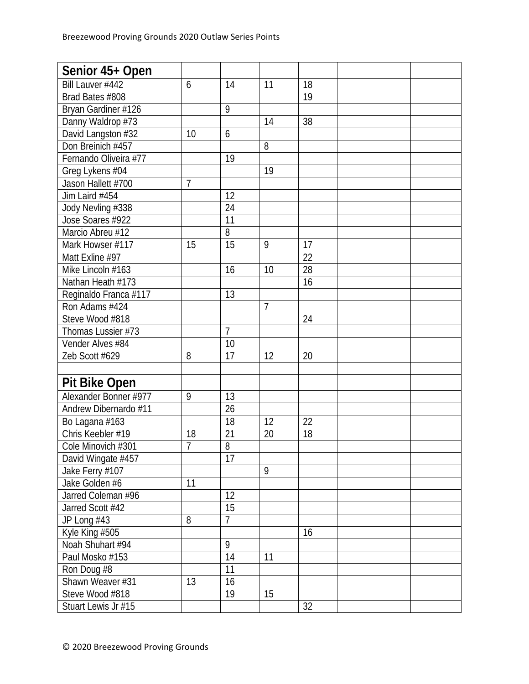| Senior 45+ Open       |                |                |                |    |  |  |
|-----------------------|----------------|----------------|----------------|----|--|--|
| Bill Lauver #442      | 6              | 14             | 11             | 18 |  |  |
| Brad Bates #808       |                |                |                | 19 |  |  |
| Bryan Gardiner #126   |                | 9              |                |    |  |  |
| Danny Waldrop #73     |                |                | 14             | 38 |  |  |
| David Langston #32    | 10             | 6              |                |    |  |  |
| Don Breinich #457     |                |                | 8              |    |  |  |
| Fernando Oliveira #77 |                | 19             |                |    |  |  |
| Greg Lykens #04       |                |                | 19             |    |  |  |
| Jason Hallett #700    | 7              |                |                |    |  |  |
| Jim Laird #454        |                | 12             |                |    |  |  |
| Jody Nevling #338     |                | 24             |                |    |  |  |
| Jose Soares #922      |                | 11             |                |    |  |  |
| Marcio Abreu #12      |                | $\overline{8}$ |                |    |  |  |
| Mark Howser #117      | 15             | 15             | 9              | 17 |  |  |
| Matt Exline #97       |                |                |                | 22 |  |  |
| Mike Lincoln #163     |                | 16             | 10             | 28 |  |  |
| Nathan Heath #173     |                |                |                | 16 |  |  |
| Reginaldo Franca #117 |                | 13             |                |    |  |  |
| Ron Adams #424        |                |                | $\overline{7}$ |    |  |  |
| Steve Wood #818       |                |                |                | 24 |  |  |
| Thomas Lussier #73    |                | $\overline{7}$ |                |    |  |  |
| Vender Alves #84      |                | 10             |                |    |  |  |
| Zeb Scott #629        | 8              | 17             | 12             | 20 |  |  |
|                       |                |                |                |    |  |  |
| <b>Pit Bike Open</b>  |                |                |                |    |  |  |
| Alexander Bonner #977 | 9              | 13             |                |    |  |  |
| Andrew Dibernardo #11 |                | 26             |                |    |  |  |
| Bo Lagana #163        |                | 18             | 12             | 22 |  |  |
| Chris Keebler #19     | 18             | 21             | 20             | 18 |  |  |
| Cole Minovich #301    | $\overline{7}$ | $\overline{8}$ |                |    |  |  |
| David Wingate #457    |                | 17             |                |    |  |  |
| Jake Ferry #107       |                |                | 9              |    |  |  |
| Jake Golden #6        | 11             |                |                |    |  |  |
| Jarred Coleman #96    |                | 12             |                |    |  |  |
| Jarred Scott #42      |                | 15             |                |    |  |  |
| JP Long #43           | 8              | $\overline{7}$ |                |    |  |  |
| Kyle King #505        |                |                |                | 16 |  |  |
| Noah Shuhart #94      |                | 9              |                |    |  |  |
| Paul Mosko #153       |                | 14             | 11             |    |  |  |
| Ron Doug #8           |                | 11             |                |    |  |  |
| Shawn Weaver #31      | 13             | 16             |                |    |  |  |
| Steve Wood #818       |                | 19             | 15             |    |  |  |
| Stuart Lewis Jr #15   |                |                |                | 32 |  |  |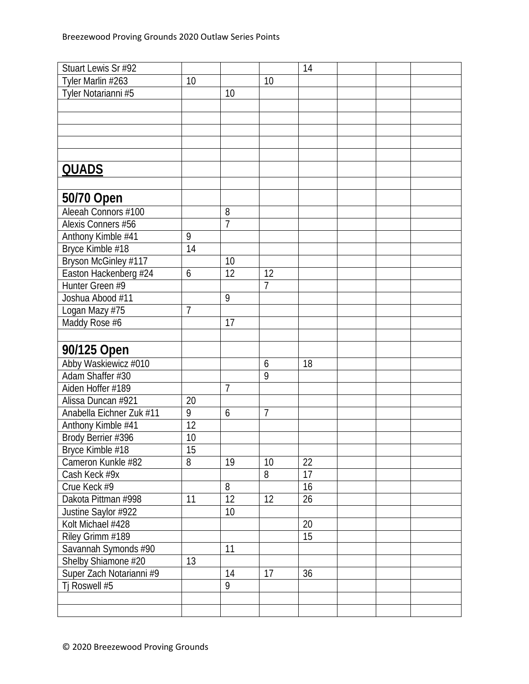| Stuart Lewis Sr #92      |                |                 |                | 14 |  |  |
|--------------------------|----------------|-----------------|----------------|----|--|--|
| Tyler Marlin #263        | 10             |                 | 10             |    |  |  |
| Tyler Notarianni #5      |                | 10              |                |    |  |  |
|                          |                |                 |                |    |  |  |
|                          |                |                 |                |    |  |  |
|                          |                |                 |                |    |  |  |
|                          |                |                 |                |    |  |  |
|                          |                |                 |                |    |  |  |
| <b>QUADS</b>             |                |                 |                |    |  |  |
|                          |                |                 |                |    |  |  |
| 50/70 Open               |                |                 |                |    |  |  |
| Aleeah Connors #100      |                | 8               |                |    |  |  |
| Alexis Conners #56       |                | $\overline{7}$  |                |    |  |  |
| Anthony Kimble #41       | 9              |                 |                |    |  |  |
| Bryce Kimble #18         | 14             |                 |                |    |  |  |
| Bryson McGinley #117     |                | 10              |                |    |  |  |
| Easton Hackenberg #24    | 6              | $\overline{12}$ | 12             |    |  |  |
| Hunter Green #9          |                |                 | $\overline{7}$ |    |  |  |
| Joshua Abood #11         |                | 9               |                |    |  |  |
| Logan Mazy #75           | $\overline{1}$ |                 |                |    |  |  |
| Maddy Rose #6            |                | 17              |                |    |  |  |
|                          |                |                 |                |    |  |  |
| 90/125 Open              |                |                 |                |    |  |  |
| Abby Waskiewicz #010     |                |                 | 6              | 18 |  |  |
| Adam Shaffer #30         |                |                 | 9              |    |  |  |
| Aiden Hoffer #189        |                | $\overline{7}$  |                |    |  |  |
| Alissa Duncan #921       | 20             |                 |                |    |  |  |
| Anabella Eichner Zuk #11 | 9              | 6               | $\overline{7}$ |    |  |  |
| Anthony Kimble #41       | 12             |                 |                |    |  |  |
| Brody Berrier #396       | 10             |                 |                |    |  |  |
| Bryce Kimble #18         | 15             |                 |                |    |  |  |
| Cameron Kunkle #82       | 8              | 19              | 10             | 22 |  |  |
| Cash Keck #9x            |                |                 | 8              | 17 |  |  |
| Crue Keck #9             |                | 8               |                | 16 |  |  |
| Dakota Pittman #998      | 11             | 12              | 12             | 26 |  |  |
| Justine Saylor #922      |                | 10              |                |    |  |  |
| Kolt Michael #428        |                |                 |                | 20 |  |  |
| Riley Grimm #189         |                |                 |                | 15 |  |  |
| Savannah Symonds #90     |                | 11              |                |    |  |  |
| Shelby Shiamone #20      | 13             |                 |                |    |  |  |
| Super Zach Notarianni #9 |                | 14              | 17             | 36 |  |  |
| Tj Roswell #5            |                | 9               |                |    |  |  |
|                          |                |                 |                |    |  |  |
|                          |                |                 |                |    |  |  |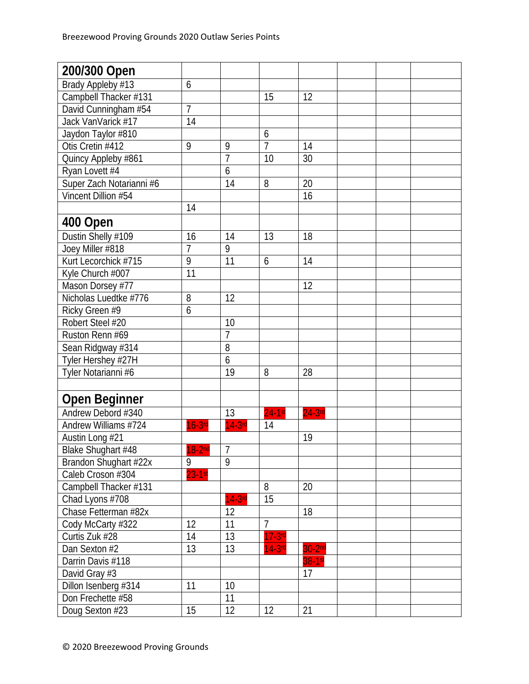| 200/300 Open             |                |                |                |           |  |  |
|--------------------------|----------------|----------------|----------------|-----------|--|--|
| Brady Appleby #13        | 6              |                |                |           |  |  |
| Campbell Thacker #131    |                |                | 15             | 12        |  |  |
| David Cunningham #54     | $\overline{7}$ |                |                |           |  |  |
| Jack VanVarick #17       | 14             |                |                |           |  |  |
| Jaydon Taylor #810       |                |                | 6              |           |  |  |
| Otis Cretin #412         | 9              | 9              | $\overline{7}$ | 14        |  |  |
| Quincy Appleby #861      |                | $\overline{1}$ | 10             | 30        |  |  |
| Ryan Lovett #4           |                | 6              |                |           |  |  |
| Super Zach Notarianni #6 |                | 14             | 8              | 20        |  |  |
| Vincent Dillion #54      |                |                |                | 16        |  |  |
|                          | 14             |                |                |           |  |  |
| 400 Open                 |                |                |                |           |  |  |
| Dustin Shelly #109       | 16             | 14             | 13             | 18        |  |  |
| Joey Miller #818         | $\overline{7}$ | 9              |                |           |  |  |
| Kurt Lecorchick #715     | 9              | 11             | 6              | 14        |  |  |
| Kyle Church #007         | 11             |                |                |           |  |  |
| Mason Dorsey #77         |                |                |                | 12        |  |  |
| Nicholas Luedtke #776    | 8              | 12             |                |           |  |  |
| Ricky Green #9           | 6              |                |                |           |  |  |
| Robert Steel #20         |                | 10             |                |           |  |  |
| Ruston Renn #69          |                | $\overline{7}$ |                |           |  |  |
| Sean Ridgway #314        |                | 8              |                |           |  |  |
| Tyler Hershey #27H       |                | 6              |                |           |  |  |
| Tyler Notarianni #6      |                | 19             | 8              | 28        |  |  |
|                          |                |                |                |           |  |  |
| Open Beginner            |                |                |                |           |  |  |
| Andrew Debord #340       |                | 13             | $24-1st$       | $24-3$ rd |  |  |
| Andrew Williams #724     | $16-3rd$       | $14-3rc$       | 14             |           |  |  |
| Austin Long #21          |                |                |                | 19        |  |  |
| Blake Shughart #48       | $18 - 2n$      | $\overline{7}$ |                |           |  |  |
| Brandon Shughart #22x    | 9              | 9              |                |           |  |  |
| Caleb Croson #304        | $23 - 1$ st    |                |                |           |  |  |
| Campbell Thacker #131    |                |                | 8              | 20        |  |  |
| Chad Lyons #708          |                | $14-3$ rd      | 15             |           |  |  |
| Chase Fetterman #82x     |                | 12             |                | 18        |  |  |
| Cody McCarty #322        | 12             | 11             | $\overline{7}$ |           |  |  |
| Curtis Zuk #28           | 14             | 13             | $17-3$ rd      |           |  |  |
| Dan Sexton #2            | 13             | 13             | $14-3rd$       | $30-2nd$  |  |  |
| Darrin Davis #118        |                |                |                | 38-1st    |  |  |
| David Gray #3            |                |                |                | 17        |  |  |
| Dillon Isenberg #314     | 11             | 10             |                |           |  |  |
| Don Frechette #58        |                | 11             |                |           |  |  |
| Doug Sexton #23          | 15             | 12             | 12             | 21        |  |  |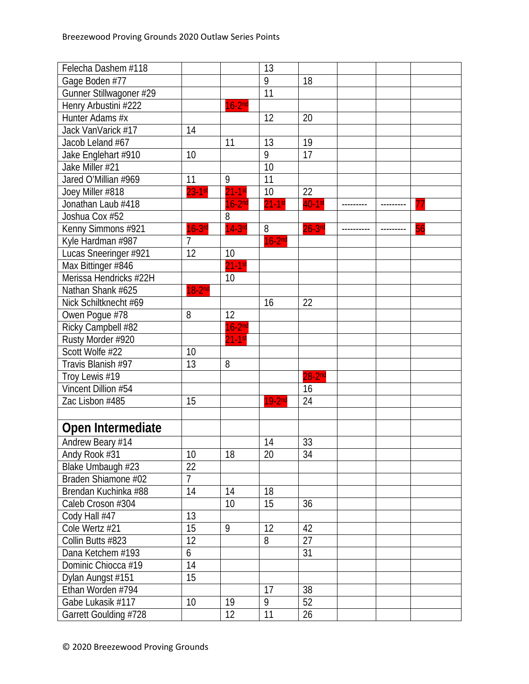| Felecha Dashem #118     |                |           | 13        |                      |           |           |    |
|-------------------------|----------------|-----------|-----------|----------------------|-----------|-----------|----|
| Gage Boden #77          |                |           | 9         | 18                   |           |           |    |
| Gunner Stillwagoner #29 |                |           | 11        |                      |           |           |    |
| Henry Arbustini #222    |                | $16-2nd$  |           |                      |           |           |    |
| Hunter Adams #x         |                |           | 12        | 20                   |           |           |    |
| Jack VanVarick #17      | 14             |           |           |                      |           |           |    |
| Jacob Leland #67        |                | 11        | 13        | 19                   |           |           |    |
| Jake Englehart #910     | 10             |           | 9         | 17                   |           |           |    |
| Jake Miller #21         |                |           | 10        |                      |           |           |    |
| Jared O'Millian #969    | 11             | 9         | 11        |                      |           |           |    |
| Joey Miller #818        | $23-1$ st      | $21-1$ st | 10        | 22                   |           |           |    |
| Jonathan Laub #418      |                | $16-2nd$  | $21-1$ st | $\overline{40}$ -1st | --------- | --------- |    |
| Joshua Cox #52          |                | 8         |           |                      |           |           |    |
| Kenny Simmons #921      | $16-3$ rd      | $14-3$ rd | 8         | $26-3$ rd            |           | --------- | 56 |
| Kyle Hardman #987       | $\overline{7}$ |           | $16-2nd$  |                      |           |           |    |
| Lucas Sneeringer #921   | 12             | 10        |           |                      |           |           |    |
| Max Bittinger #846      |                | $21-1$ st |           |                      |           |           |    |
| Merissa Hendricks #22H  |                | 10        |           |                      |           |           |    |
| Nathan Shank #625       | $18-2nd$       |           |           |                      |           |           |    |
| Nick Schiltknecht #69   |                |           | 16        | 22                   |           |           |    |
| Owen Pogue #78          | 8              | 12        |           |                      |           |           |    |
| Ricky Campbell #82      |                | $16-2nd$  |           |                      |           |           |    |
| Rusty Morder #920       |                | $21-1st$  |           |                      |           |           |    |
| Scott Wolfe #22         | 10             |           |           |                      |           |           |    |
| Travis Blanish #97      | 13             | 8         |           |                      |           |           |    |
| Troy Lewis #19          |                |           |           | $28 - 2nd$           |           |           |    |
| Vincent Dillion #54     |                |           |           | 16                   |           |           |    |
| Zac Lisbon #485         | 15             |           | $19-2nd$  | 24                   |           |           |    |
|                         |                |           |           |                      |           |           |    |
| Open Intermediate       |                |           |           |                      |           |           |    |
| Andrew Beary #14        |                |           | 14        | 33                   |           |           |    |
| Andy Rook #31           | 10             | 18        | 20        | 34                   |           |           |    |
| Blake Umbaugh #23       | 22             |           |           |                      |           |           |    |
| Braden Shiamone #02     | $\overline{7}$ |           |           |                      |           |           |    |
| Brendan Kuchinka #88    | 14             | 14        | 18        |                      |           |           |    |
| Caleb Croson #304       |                | 10        | 15        | 36                   |           |           |    |
| Cody Hall #47           | 13             |           |           |                      |           |           |    |
| Cole Wertz #21          | 15             | 9         | 12        | 42                   |           |           |    |
| Collin Butts #823       | 12             |           | 8         | 27                   |           |           |    |
| Dana Ketchem #193       | 6              |           |           | 31                   |           |           |    |
| Dominic Chiocca #19     | 14             |           |           |                      |           |           |    |
| Dylan Aungst #151       | 15             |           |           |                      |           |           |    |
| Ethan Worden #794       |                |           | 17        | 38                   |           |           |    |
| Gabe Lukasik #117       | 10             | 19        | 9         | 52                   |           |           |    |
| Garrett Goulding #728   |                | 12        | 11        | 26                   |           |           |    |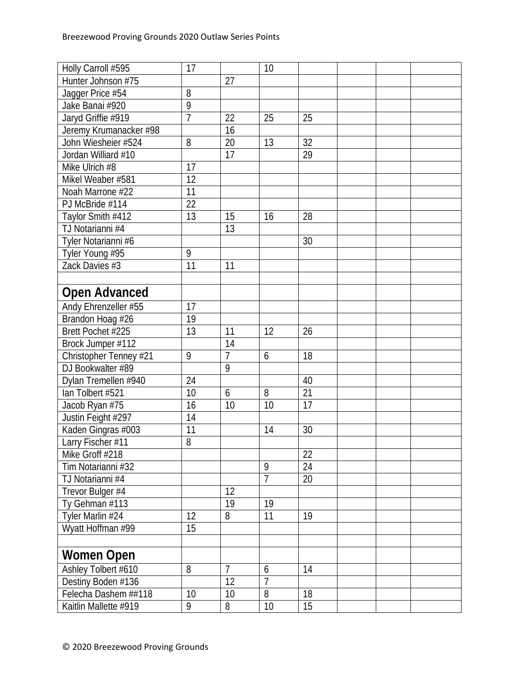| Holly Carroll #595     | 17             |                | 10             |    |  |  |
|------------------------|----------------|----------------|----------------|----|--|--|
| Hunter Johnson #75     |                | 27             |                |    |  |  |
| Jagger Price #54       | 8              |                |                |    |  |  |
| Jake Banai #920        | 9              |                |                |    |  |  |
| Jaryd Griffie #919     | $\overline{7}$ | 22             | 25             | 25 |  |  |
| Jeremy Krumanacker #98 |                | 16             |                |    |  |  |
| John Wiesheier #524    | 8              | 20             | 13             | 32 |  |  |
| Jordan Williard #10    |                | 17             |                | 29 |  |  |
| Mike Ulrich #8         | 17             |                |                |    |  |  |
| Mikel Weaber #581      | 12             |                |                |    |  |  |
| Noah Marrone #22       | 11             |                |                |    |  |  |
| PJ McBride #114        | 22             |                |                |    |  |  |
| Taylor Smith #412      | 13             | 15             | 16             | 28 |  |  |
| TJ Notarianni #4       |                | 13             |                |    |  |  |
| Tyler Notarianni #6    |                |                |                | 30 |  |  |
| Tyler Young #95        | 9              |                |                |    |  |  |
| Zack Davies #3         | 11             | 11             |                |    |  |  |
|                        |                |                |                |    |  |  |
| <b>Open Advanced</b>   |                |                |                |    |  |  |
| Andy Ehrenzeller #55   | 17             |                |                |    |  |  |
| Brandon Hoag #26       | 19             |                |                |    |  |  |
| Brett Pochet #225      | 13             | 11             | 12             | 26 |  |  |
| Brock Jumper #112      |                | 14             |                |    |  |  |
| Christopher Tenney #21 | 9              | $\overline{7}$ | 6              | 18 |  |  |
| DJ Bookwalter #89      |                | 9              |                |    |  |  |
| Dylan Tremellen #940   | 24             |                |                | 40 |  |  |
| lan Tolbert #521       | 10             | 6              | 8              | 21 |  |  |
| Jacob Ryan #75         | 16             | 10             | 10             | 17 |  |  |
| Justin Feight #297     | 14             |                |                |    |  |  |
| Kaden Gingras #003     | 11             |                | 14             | 30 |  |  |
| Larry Fischer #11      | 8              |                |                |    |  |  |
| Mike Groff #218        |                |                |                | 22 |  |  |
| Tim Notarianni #32     |                |                | 9              | 24 |  |  |
| TJ Notarianni #4       |                |                | $\overline{7}$ | 20 |  |  |
| Trevor Bulger #4       |                | 12             |                |    |  |  |
| Ty Gehman #113         |                | 19             | 19             |    |  |  |
| Tyler Marlin #24       | 12             | 8              | 11             | 19 |  |  |
| Wyatt Hoffman #99      | 15             |                |                |    |  |  |
|                        |                |                |                |    |  |  |
| <b>Women Open</b>      |                |                |                |    |  |  |
| Ashley Tolbert #610    | 8              | $\overline{7}$ | 6              | 14 |  |  |
| Destiny Boden #136     |                | 12             | 7              |    |  |  |
| Felecha Dashem ##118   | 10             | 10             | 8              | 18 |  |  |
| Kaitlin Mallette #919  | 9              | 8              | 10             | 15 |  |  |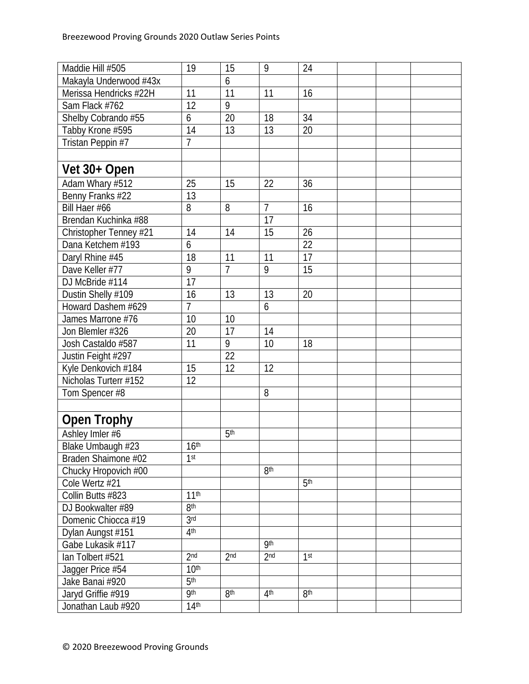| Maddie Hill #505       | 19               | 15              | 9               | 24              |  |  |
|------------------------|------------------|-----------------|-----------------|-----------------|--|--|
| Makayla Underwood #43x |                  | 6               |                 |                 |  |  |
| Merissa Hendricks #22H | 11               | 11              | 11              | 16              |  |  |
| Sam Flack #762         | 12               | 9               |                 |                 |  |  |
| Shelby Cobrando #55    | 6                | 20              | 18              | 34              |  |  |
| Tabby Krone #595       | 14               | 13              | 13              | 20              |  |  |
| Tristan Peppin #7      | $\overline{7}$   |                 |                 |                 |  |  |
|                        |                  |                 |                 |                 |  |  |
| Vet 30+ Open           |                  |                 |                 |                 |  |  |
| Adam Whary #512        | 25               | 15              | 22              | 36              |  |  |
| Benny Franks #22       | 13               |                 |                 |                 |  |  |
| Bill Haer #66          | 8                | 8               | $\overline{7}$  | 16              |  |  |
| Brendan Kuchinka #88   |                  |                 | 17              |                 |  |  |
| Christopher Tenney #21 | 14               | $\overline{14}$ | $\overline{15}$ | 26              |  |  |
| Dana Ketchem #193      | 6                |                 |                 | 22              |  |  |
| Daryl Rhine #45        | 18               | 11              | 11              | $\overline{17}$ |  |  |
| Dave Keller #77        | 9                | $\overline{7}$  | 9               | 15              |  |  |
| DJ McBride #114        | 17               |                 |                 |                 |  |  |
| Dustin Shelly #109     | 16               | 13              | 13              | 20              |  |  |
| Howard Dashem #629     | $\overline{7}$   |                 | 6               |                 |  |  |
| James Marrone #76      | 10               | 10              |                 |                 |  |  |
| Jon Blemler #326       | 20               | 17              | 14              |                 |  |  |
| Josh Castaldo #587     | 11               | 9               | 10              | 18              |  |  |
| Justin Feight #297     |                  | 22              |                 |                 |  |  |
| Kyle Denkovich #184    | 15               | $\overline{12}$ | 12              |                 |  |  |
| Nicholas Turterr #152  | 12               |                 |                 |                 |  |  |
| Tom Spencer #8         |                  |                 | 8               |                 |  |  |
|                        |                  |                 |                 |                 |  |  |
| <b>Open Trophy</b>     |                  |                 |                 |                 |  |  |
| Ashley Imler #6        |                  | 5 <sup>th</sup> |                 |                 |  |  |
| Blake Umbaugh #23      | 16 <sup>th</sup> |                 |                 |                 |  |  |
| Braden Shaimone #02    | 1 <sup>st</sup>  |                 |                 |                 |  |  |
| Chucky Hropovich #00   |                  |                 | 8 <sup>th</sup> |                 |  |  |
| Cole Wertz #21         |                  |                 |                 | 5 <sup>th</sup> |  |  |
| Collin Butts #823      | 11 <sup>th</sup> |                 |                 |                 |  |  |
| DJ Bookwalter #89      | 8 <sup>th</sup>  |                 |                 |                 |  |  |
| Domenic Chiocca #19    | 3 <sub>rd</sub>  |                 |                 |                 |  |  |
| Dylan Aungst #151      | 4 <sup>th</sup>  |                 |                 |                 |  |  |
| Gabe Lukasik #117      |                  |                 | <b>9th</b>      |                 |  |  |
| lan Tolbert #521       | 2 <sub>nd</sub>  | 2 <sub>nd</sub> | 2 <sub>nd</sub> | 1 <sup>st</sup> |  |  |
| Jagger Price #54       | 10 <sup>th</sup> |                 |                 |                 |  |  |
| Jake Banai #920        | 5 <sup>th</sup>  |                 |                 |                 |  |  |
| Jaryd Griffie #919     | <b>9th</b>       | 8 <sup>th</sup> | 4 <sup>th</sup> | 8 <sup>th</sup> |  |  |
| Jonathan Laub #920     | 14 <sup>th</sup> |                 |                 |                 |  |  |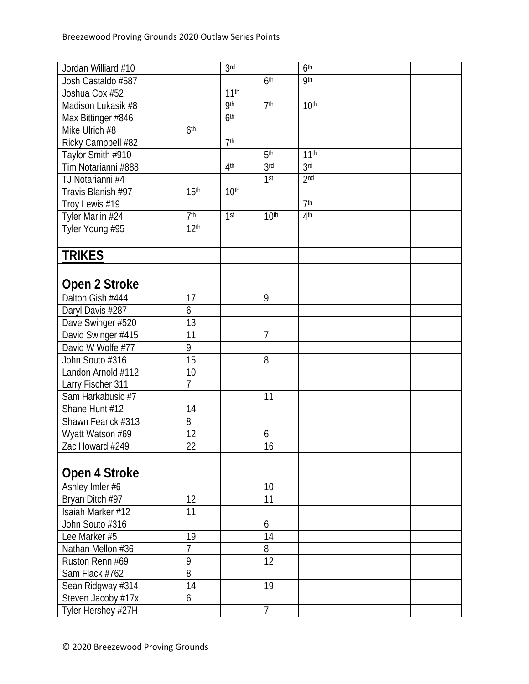| Jordan Williard #10 |                  | 3 <sub>rd</sub>  |                  | 6 <sup>th</sup>  |  |  |
|---------------------|------------------|------------------|------------------|------------------|--|--|
| Josh Castaldo #587  |                  |                  | 6 <sup>th</sup>  | <b>9th</b>       |  |  |
| Joshua Cox #52      |                  | 11 <sup>th</sup> |                  |                  |  |  |
| Madison Lukasik #8  |                  | <b>9th</b>       | 7 <sup>th</sup>  | 10 <sup>th</sup> |  |  |
| Max Bittinger #846  |                  | 6 <sup>th</sup>  |                  |                  |  |  |
| Mike Ulrich #8      | 6 <sup>th</sup>  |                  |                  |                  |  |  |
| Ricky Campbell #82  |                  | 7 <sup>th</sup>  |                  |                  |  |  |
| Taylor Smith #910   |                  |                  | 5 <sup>th</sup>  | 11 <sup>th</sup> |  |  |
| Tim Notarianni #888 |                  | 4 <sup>th</sup>  | 3 <sub>rd</sub>  | 3rd              |  |  |
| TJ Notarianni #4    |                  |                  | 1 <sup>st</sup>  | 2 <sub>nd</sub>  |  |  |
| Travis Blanish #97  | 15 <sup>th</sup> | 10 <sup>th</sup> |                  |                  |  |  |
| Troy Lewis #19      |                  |                  |                  | 7 <sup>th</sup>  |  |  |
| Tyler Marlin #24    | 7 <sup>th</sup>  | 1 <sup>st</sup>  | 10 <sup>th</sup> | 4 <sup>th</sup>  |  |  |
| Tyler Young #95     | 12 <sup>th</sup> |                  |                  |                  |  |  |
|                     |                  |                  |                  |                  |  |  |
| <b>TRIKES</b>       |                  |                  |                  |                  |  |  |
|                     |                  |                  |                  |                  |  |  |
|                     |                  |                  |                  |                  |  |  |
| Open 2 Stroke       |                  |                  |                  |                  |  |  |
| Dalton Gish #444    | 17               |                  | 9                |                  |  |  |
| Daryl Davis #287    | 6                |                  |                  |                  |  |  |
| Dave Swinger #520   | 13               |                  |                  |                  |  |  |
| David Swinger #415  | 11               |                  | $\overline{7}$   |                  |  |  |
| David W Wolfe #77   | 9                |                  |                  |                  |  |  |
| John Souto #316     | 15               |                  | 8                |                  |  |  |
| Landon Arnold #112  | 10               |                  |                  |                  |  |  |
| Larry Fischer 311   | $\overline{7}$   |                  |                  |                  |  |  |
| Sam Harkabusic #7   |                  |                  | 11               |                  |  |  |
| Shane Hunt #12      | 14               |                  |                  |                  |  |  |
| Shawn Fearick #313  | 8                |                  |                  |                  |  |  |
| Wyatt Watson #69    | $\overline{12}$  |                  | 6                |                  |  |  |
| Zac Howard #249     | 22               |                  | 16               |                  |  |  |
|                     |                  |                  |                  |                  |  |  |
| Open 4 Stroke       |                  |                  |                  |                  |  |  |
| Ashley Imler #6     |                  |                  | 10               |                  |  |  |
| Bryan Ditch #97     | 12               |                  | 11               |                  |  |  |
| Isaiah Marker #12   | 11               |                  |                  |                  |  |  |
| John Souto #316     |                  |                  | 6                |                  |  |  |
| Lee Marker #5       | 19               |                  | 14               |                  |  |  |
| Nathan Mellon #36   | $\overline{7}$   |                  | 8                |                  |  |  |
| Ruston Renn #69     | 9                |                  | $\overline{12}$  |                  |  |  |
| Sam Flack #762      | 8                |                  |                  |                  |  |  |
| Sean Ridgway #314   | 14               |                  | 19               |                  |  |  |
| Steven Jacoby #17x  | 6                |                  |                  |                  |  |  |
|                     |                  |                  | $\overline{7}$   |                  |  |  |
| Tyler Hershey #27H  |                  |                  |                  |                  |  |  |